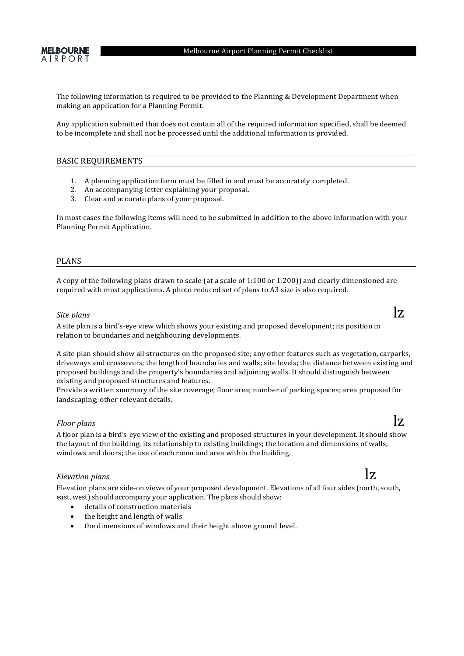The following information is required to be provided to the Planning & Development Department when making an application for a Planning Permit.

Any application submitted that does not contain all of the required information specified, shall be deemed to be incomplete and shall not be processed until the additional information is provided.

### BASIC REQUIREMENTS

- 1. A planning application form must be filled in and must be accurately completed.
- 2. An accompanying letter explaining your proposal.
- 3. Clear and accurate plans of your proposal.

In most cases the following items will need to be submitted in addition to the above information with your Planning Permit Application.

### PLANS

A copy of the following plans drawn to scale (at a scale of 1:100 or 1:200)) and clearly dimensioned are required with most applications. A photo reduced set of plans to A3 size is also required.

# **Site** plans **lz**

A site plan is a bird's-eye view which shows your existing and proposed development; its position in relation to boundaries and neighbouring developments.

A site plan should show all structures on the proposed site; any other features such as vegetation, carparks, driveways and crossovers; the length of boundaries and walls; site levels; the distance between existing and proposed buildings and the property's boundaries and adjoining walls. It should distinguish between existing and proposed structures and features.

Provide a written summary of the site coverage; floor area; number of parking spaces; area proposed for landscaping; other relevant details.

# *Floor* plans  $\mathbf{z}$

A floor plan is a bird's-eye view of the existing and proposed structures in your development. It should show the layout of the building; its relationship to existing buildings; the location and dimensions of walls, windows and doors; the use of each room and area within the building.

# $\mathbf{z}$  *Elevation* plans

Elevation plans are side-on views of your proposed development. Elevations of all four sides (north, south, east, west) should accompany your application. The plans should show:

- details of construction materials
- $\bullet$  the height and length of walls
- the dimensions of windows and their height above ground level.